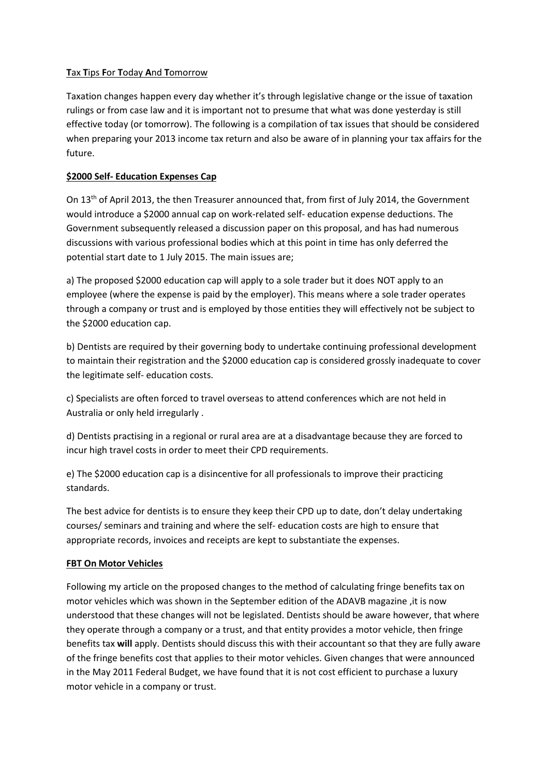### **T**ax **T**ips **F**or **T**oday **A**nd **T**omorrow

Taxation changes happen every day whether it's through legislative change or the issue of taxation rulings or from case law and it is important not to presume that what was done yesterday is still effective today (or tomorrow). The following is a compilation of tax issues that should be considered when preparing your 2013 income tax return and also be aware of in planning your tax affairs for the future.

# **\$2000 Self- Education Expenses Cap**

On 13th of April 2013, the then Treasurer announced that, from first of July 2014, the Government would introduce a \$2000 annual cap on work-related self- education expense deductions. The Government subsequently released a discussion paper on this proposal, and has had numerous discussions with various professional bodies which at this point in time has only deferred the potential start date to 1 July 2015. The main issues are;

a) The proposed \$2000 education cap will apply to a sole trader but it does NOT apply to an employee (where the expense is paid by the employer). This means where a sole trader operates through a company or trust and is employed by those entities they will effectively not be subject to the \$2000 education cap.

b) Dentists are required by their governing body to undertake continuing professional development to maintain their registration and the \$2000 education cap is considered grossly inadequate to cover the legitimate self- education costs.

c) Specialists are often forced to travel overseas to attend conferences which are not held in Australia or only held irregularly .

d) Dentists practising in a regional or rural area are at a disadvantage because they are forced to incur high travel costs in order to meet their CPD requirements.

e) The \$2000 education cap is a disincentive for all professionals to improve their practicing standards.

The best advice for dentists is to ensure they keep their CPD up to date, don't delay undertaking courses/ seminars and training and where the self- education costs are high to ensure that appropriate records, invoices and receipts are kept to substantiate the expenses.

# **FBT On Motor Vehicles**

Following my article on the proposed changes to the method of calculating fringe benefits tax on motor vehicles which was shown in the September edition of the ADAVB magazine ,it is now understood that these changes will not be legislated. Dentists should be aware however, that where they operate through a company or a trust, and that entity provides a motor vehicle, then fringe benefits tax **will** apply. Dentists should discuss this with their accountant so that they are fully aware of the fringe benefits cost that applies to their motor vehicles. Given changes that were announced in the May 2011 Federal Budget, we have found that it is not cost efficient to purchase a luxury motor vehicle in a company or trust.